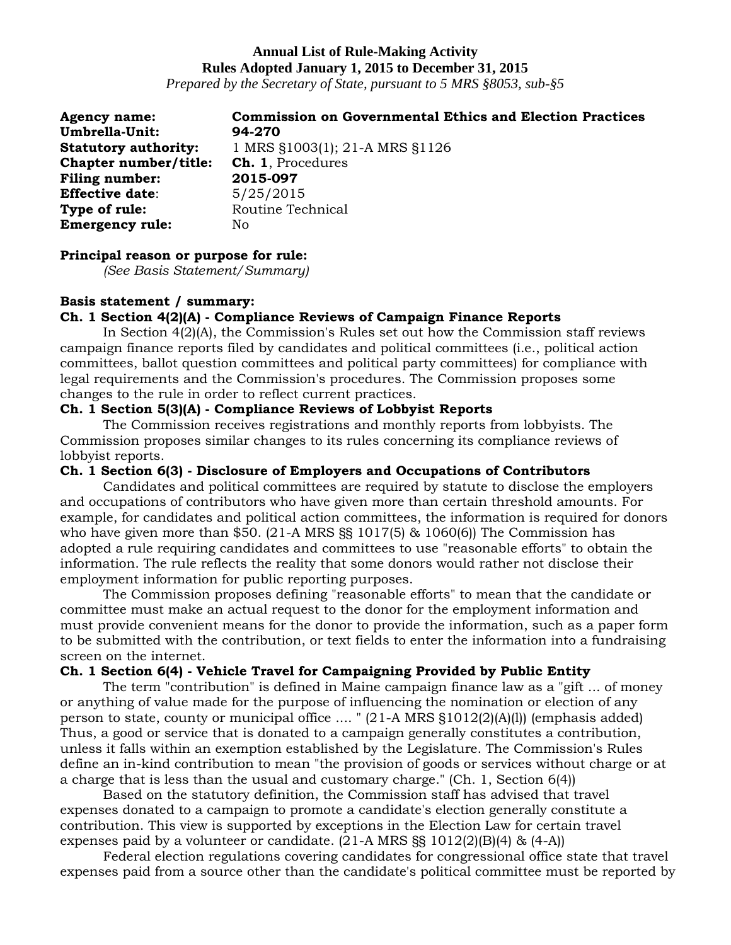# **Annual List of Rule-Making Activity Rules Adopted January 1, 2015 to December 31, 2015**

*Prepared by the Secretary of State, pursuant to 5 MRS §8053, sub-§5*

| <b>Agency name:</b>          | <b>Commission on Governmental Ethics and Election Practices</b> |
|------------------------------|-----------------------------------------------------------------|
| <b>Umbrella-Unit:</b>        | 94-270                                                          |
| <b>Statutory authority:</b>  | 1 MRS §1003(1); 21-A MRS §1126                                  |
| <b>Chapter number/title:</b> | <b>Ch. 1.</b> Procedures                                        |
| <b>Filing number:</b>        | 2015-097                                                        |
| <b>Effective date:</b>       | 5/25/2015                                                       |
| Type of rule:                | Routine Technical                                               |
| <b>Emergency rule:</b>       | No                                                              |

### **Principal reason or purpose for rule:**

*(See Basis Statement/Summary)*

## **Basis statement / summary:**

# **Ch. 1 Section 4(2)(A) - Compliance Reviews of Campaign Finance Reports**

In Section 4(2)(A), the Commission's Rules set out how the Commission staff reviews campaign finance reports filed by candidates and political committees (i.e., political action committees, ballot question committees and political party committees) for compliance with legal requirements and the Commission's procedures. The Commission proposes some changes to the rule in order to reflect current practices.

# **Ch. 1 Section 5(3)(A) - Compliance Reviews of Lobbyist Reports**

The Commission receives registrations and monthly reports from lobbyists. The Commission proposes similar changes to its rules concerning its compliance reviews of lobbyist reports.

## **Ch. 1 Section 6(3) - Disclosure of Employers and Occupations of Contributors**

Candidates and political committees are required by statute to disclose the employers and occupations of contributors who have given more than certain threshold amounts. For example, for candidates and political action committees, the information is required for donors who have given more than \$50.  $(21-A$  MRS  $\S$ § 1017(5) & 1060(6)) The Commission has adopted a rule requiring candidates and committees to use "reasonable efforts" to obtain the information. The rule reflects the reality that some donors would rather not disclose their employment information for public reporting purposes.

The Commission proposes defining "reasonable efforts" to mean that the candidate or committee must make an actual request to the donor for the employment information and must provide convenient means for the donor to provide the information, such as a paper form to be submitted with the contribution, or text fields to enter the information into a fundraising screen on the internet.

## **Ch. 1 Section 6(4) - Vehicle Travel for Campaigning Provided by Public Entity**

The term "contribution" is defined in Maine campaign finance law as a "gift ... of money or anything of value made for the purpose of influencing the nomination or election of any person to state, county or municipal office .... " (21-A MRS §1012(2)(A)(l)) (emphasis added) Thus, a good or service that is donated to a campaign generally constitutes a contribution, unless it falls within an exemption established by the Legislature. The Commission's Rules define an in-kind contribution to mean "the provision of goods or services without charge or at a charge that is less than the usual and customary charge." (Ch. 1, Section 6(4))

Based on the statutory definition, the Commission staff has advised that travel expenses donated to a campaign to promote a candidate's election generally constitute a contribution. This view is supported by exceptions in the Election Law for certain travel expenses paid by a volunteer or candidate.  $(21-A$  MRS  $\S$ §  $1012(2)(B)(4)$  &  $(4-A)$ 

Federal election regulations covering candidates for congressional office state that travel expenses paid from a source other than the candidate's political committee must be reported by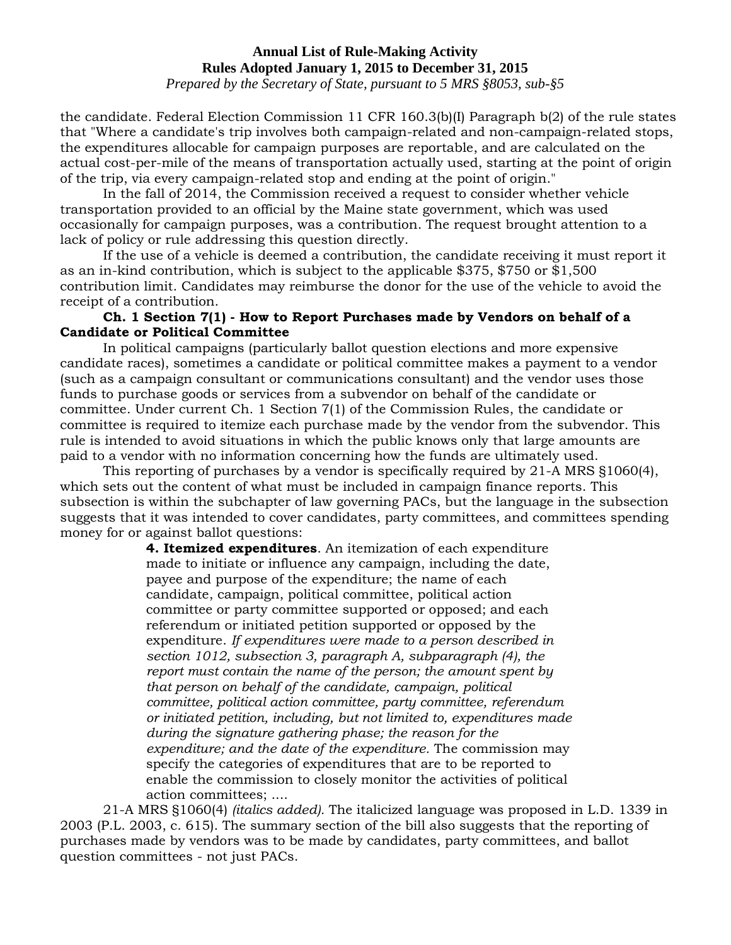#### **Annual List of Rule-Making Activity Rules Adopted January 1, 2015 to December 31, 2015**

*Prepared by the Secretary of State, pursuant to 5 MRS §8053, sub-§5*

the candidate. Federal Election Commission 11 CFR 160.3(b)(I) Paragraph b(2) of the rule states that "Where a candidate's trip involves both campaign-related and non-campaign-related stops, the expenditures allocable for campaign purposes are reportable, and are calculated on the actual cost-per-mile of the means of transportation actually used, starting at the point of origin of the trip, via every campaign-related stop and ending at the point of origin."

In the fall of 2014, the Commission received a request to consider whether vehicle transportation provided to an official by the Maine state government, which was used occasionally for campaign purposes, was a contribution. The request brought attention to a lack of policy or rule addressing this question directly.

If the use of a vehicle is deemed a contribution, the candidate receiving it must report it as an in-kind contribution, which is subject to the applicable \$375, \$750 or \$1,500 contribution limit. Candidates may reimburse the donor for the use of the vehicle to avoid the receipt of a contribution.

## **Ch. 1 Section 7(1) - How to Report Purchases made by Vendors on behalf of a Candidate or Political Committee**

In political campaigns (particularly ballot question elections and more expensive candidate races), sometimes a candidate or political committee makes a payment to a vendor (such as a campaign consultant or communications consultant) and the vendor uses those funds to purchase goods or services from a subvendor on behalf of the candidate or committee. Under current Ch. 1 Section 7(1) of the Commission Rules, the candidate or committee is required to itemize each purchase made by the vendor from the subvendor. This rule is intended to avoid situations in which the public knows only that large amounts are paid to a vendor with no information concerning how the funds are ultimately used.

This reporting of purchases by a vendor is specifically required by 21-A MRS §1060(4), which sets out the content of what must be included in campaign finance reports. This subsection is within the subchapter of law governing PACs, but the language in the subsection suggests that it was intended to cover candidates, party committees, and committees spending money for or against ballot questions:

> **4. Itemized expenditures**. An itemization of each expenditure made to initiate or influence any campaign, including the date, payee and purpose of the expenditure; the name of each candidate, campaign, political committee, political action committee or party committee supported or opposed; and each referendum or initiated petition supported or opposed by the expenditure. *If expenditures were made to a person described in section 1012, subsection 3, paragraph A, subparagraph (4), the report must contain the name of the person; the amount spent by that person on behalf of the candidate, campaign, political committee, political action committee, party committee, referendum or initiated petition, including, but not limited to, expenditures made during the signature gathering phase; the reason for the expenditure; and the date of the expenditure.* The commission may specify the categories of expenditures that are to be reported to enable the commission to closely monitor the activities of political action committees; ....

21-A MRS §1060(4) *(italics added).* The italicized language was proposed in L.D. 1339 in 2003 (P.L. 2003, c. 615). The summary section of the bill also suggests that the reporting of purchases made by vendors was to be made by candidates, party committees, and ballot question committees - not just PACs.